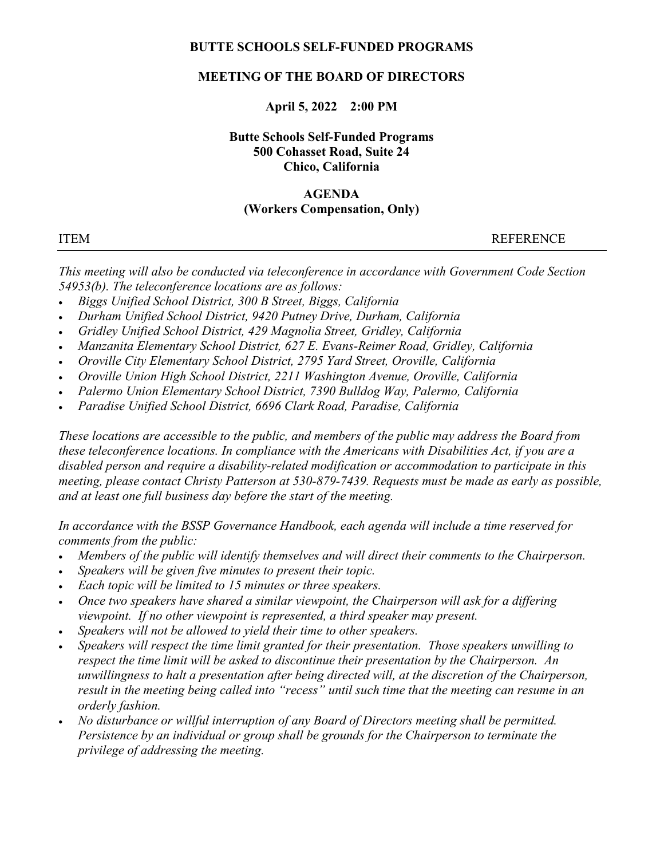#### BUTTE SCHOOLS SELF-FUNDED PROGRAMS

## MEETING OF THE BOARD OF DIRECTORS

## April 5, 2022 2:00 PM

# Butte Schools Self-Funded Programs 500 Cohasset Road, Suite 24 Chico, California

# AGENDA

## (Workers Compensation, Only)

ITEM REFERENCE

This meeting will also be conducted via teleconference in accordance with Government Code Section 54953(b). The teleconference locations are as follows:

- Biggs Unified School District, 300 B Street, Biggs, California
- Durham Unified School District, 9420 Putney Drive, Durham, California
- Gridley Unified School District, 429 Magnolia Street, Gridley, California
- Manzanita Elementary School District, 627 E. Evans-Reimer Road, Gridley, California
- Oroville City Elementary School District, 2795 Yard Street, Oroville, California
- Oroville Union High School District, 2211 Washington Avenue, Oroville, California
- Palermo Union Elementary School District, 7390 Bulldog Way, Palermo, California
- Paradise Unified School District, 6696 Clark Road, Paradise, California

These locations are accessible to the public, and members of the public may address the Board from these teleconference locations. In compliance with the Americans with Disabilities Act, if you are a disabled person and require a disability-related modification or accommodation to participate in this meeting, please contact Christy Patterson at 530-879-7439. Requests must be made as early as possible, and at least one full business day before the start of the meeting.

In accordance with the BSSP Governance Handbook, each agenda will include a time reserved for comments from the public:

- Members of the public will identify themselves and will direct their comments to the Chairperson.
- Speakers will be given five minutes to present their topic.
- Each topic will be limited to 15 minutes or three speakers.
- Once two speakers have shared a similar viewpoint, the Chairperson will ask for a differing viewpoint. If no other viewpoint is represented, a third speaker may present.
- Speakers will not be allowed to yield their time to other speakers.
- Speakers will respect the time limit granted for their presentation. Those speakers unwilling to respect the time limit will be asked to discontinue their presentation by the Chairperson. An unwillingness to halt a presentation after being directed will, at the discretion of the Chairperson, result in the meeting being called into "recess" until such time that the meeting can resume in an orderly fashion.
- No disturbance or willful interruption of any Board of Directors meeting shall be permitted. Persistence by an individual or group shall be grounds for the Chairperson to terminate the privilege of addressing the meeting.